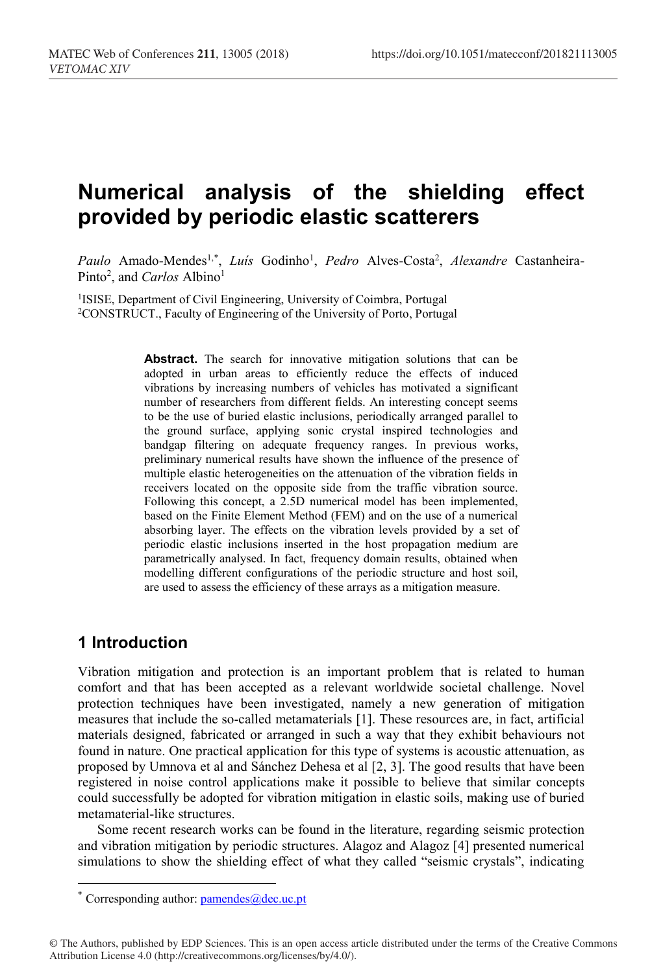# **Numerical analysis of the shielding effect provided by periodic elastic scatterers**

Paulo Amado-Mendes<sup>1,\*</sup>, *Luís* Godinho<sup>1</sup>, *Pedro* Alves-Costa<sup>2</sup>, *Alexandre* Castanheira-Pinto<sup>2</sup>, and *Carlos* Albino<sup>1</sup>

<sup>1</sup>ISISE, Department of Civil Engineering, University of Coimbra, Portugal <sup>2</sup>CONSTRUCT., Faculty of Engineering of the University of Porto, Portugal

Abstract. The search for innovative mitigation solutions that can be adopted in urban areas to efficiently reduce the effects of induced vibrations by increasing numbers of vehicles has motivated a significant number of researchers from different fields. An interesting concept seems to be the use of buried elastic inclusions, periodically arranged parallel to the ground surface, applying sonic crystal inspired technologies and bandgap filtering on adequate frequency ranges. In previous works, preliminary numerical results have shown the influence of the presence of multiple elastic heterogeneities on the attenuation of the vibration fields in receivers located on the opposite side from the traffic vibration source. Following this concept, a 2.5D numerical model has been implemented, based on the Finite Element Method (FEM) and on the use of a numerical absorbing layer. The effects on the vibration levels provided by a set of periodic elastic inclusions inserted in the host propagation medium are parametrically analysed. In fact, frequency domain results, obtained when modelling different configurations of the periodic structure and host soil, are used to assess the efficiency of these arrays as a mitigation measure.

## **1 Introduction**

 $\overline{a}$ 

Vibration mitigation and protection is an important problem that is related to human comfort and that has been accepted as a relevant worldwide societal challenge. Novel protection techniques have been investigated, namely a new generation of mitigation measures that include the so-called metamaterials [1]. These resources are, in fact, artificial materials designed, fabricated or arranged in such a way that they exhibit behaviours not found in nature. One practical application for this type of systems is acoustic attenuation, as proposed by Umnova et al and Sánchez Dehesa et al [2, 3]. The good results that have been registered in noise control applications make it possible to believe that similar concepts could successfully be adopted for vibration mitigation in elastic soils, making use of buried metamaterial-like structures.

Some recent research works can be found in the literature, regarding seismic protection and vibration mitigation by periodic structures. Alagoz and Alagoz [4] presented numerical simulations to show the shielding effect of what they called "seismic crystals", indicating

<sup>\*</sup> Corresponding author:  $\frac{p}{\text{amendes}(a)}$  dec.uc.pt

<sup>©</sup> The Authors, published by EDP Sciences. This is an open access article distributed under the terms of the Creative Commons Attribution License 4.0 (http://creativecommons.org/licenses/by/4.0/).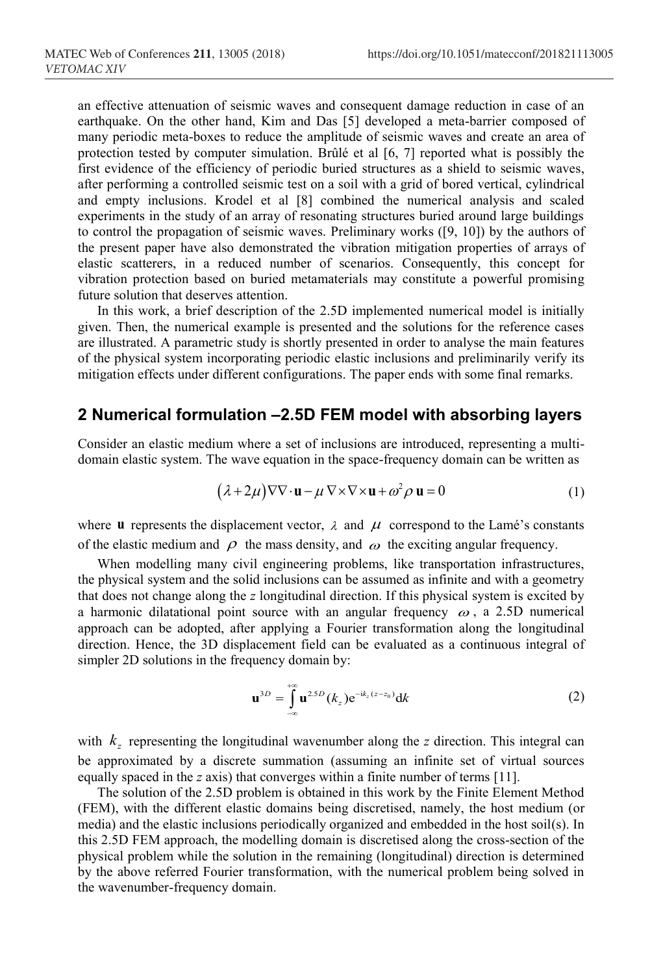an effective attenuation of seismic waves and consequent damage reduction in case of an earthquake. On the other hand, Kim and Das [5] developed a meta-barrier composed of many periodic meta-boxes to reduce the amplitude of seismic waves and create an area of protection tested by computer simulation. Brûlé et al [6, 7] reported what is possibly the first evidence of the efficiency of periodic buried structures as a shield to seismic waves, after performing a controlled seismic test on a soil with a grid of bored vertical, cylindrical and empty inclusions. Krodel et al [8] combined the numerical analysis and scaled experiments in the study of an array of resonating structures buried around large buildings to control the propagation of seismic waves. Preliminary works ([9, 10]) by the authors of the present paper have also demonstrated the vibration mitigation properties of arrays of elastic scatterers, in a reduced number of scenarios. Consequently, this concept for vibration protection based on buried metamaterials may constitute a powerful promising future solution that deserves attention.

In this work, a brief description of the 2.5D implemented numerical model is initially given. Then, the numerical example is presented and the solutions for the reference cases are illustrated. A parametric study is shortly presented in order to analyse the main features of the physical system incorporating periodic elastic inclusions and preliminarily verify its mitigation effects under different configurations. The paper ends with some final remarks.

## **2 Numerical formulation –2.5D FEM model with absorbing layers**

Consider an elastic medium where a set of inclusions are introduced, representing a multidomain elastic system. The wave equation in the space-frequency domain can be written as

$$
(\lambda + 2\mu)\nabla\nabla \cdot \mathbf{u} - \mu \nabla \times \nabla \times \mathbf{u} + \omega^2 \rho \mathbf{u} = 0
$$
 (1)

where **u** represents the displacement vector,  $\lambda$  and  $\mu$  correspond to the Lamé's constants of the elastic medium and  $\rho$  the mass density, and  $\omega$  the exciting angular frequency.

When modelling many civil engineering problems, like transportation infrastructures, the physical system and the solid inclusions can be assumed as infinite and with a geometry that does not change along the *z* longitudinal direction. If this physical system is excited by a harmonic dilatational point source with an angular frequency  $\omega$ , a 2.5D numerical approach can be adopted, after applying a Fourier transformation along the longitudinal direction. Hence, the 3D displacement field can be evaluated as a continuous integral of simpler 2D solutions in the frequency domain by:

$$
\mathbf{u}^{3D} = \int_{-\infty}^{+\infty} \mathbf{u}^{2.5D} (k_z) e^{-ik_z(z-z_0)} dk
$$
 (2)

with  $k_z$  representing the longitudinal wavenumber along the *z* direction. This integral can be approximated by a discrete summation (assuming an infinite set of virtual sources equally spaced in the *z* axis) that converges within a finite number of terms [11].

The solution of the 2.5D problem is obtained in this work by the Finite Element Method (FEM), with the different elastic domains being discretised, namely, the host medium (or media) and the elastic inclusions periodically organized and embedded in the host soil(s). In this 2.5D FEM approach, the modelling domain is discretised along the cross-section of the physical problem while the solution in the remaining (longitudinal) direction is determined by the above referred Fourier transformation, with the numerical problem being solved in the wavenumber-frequency domain.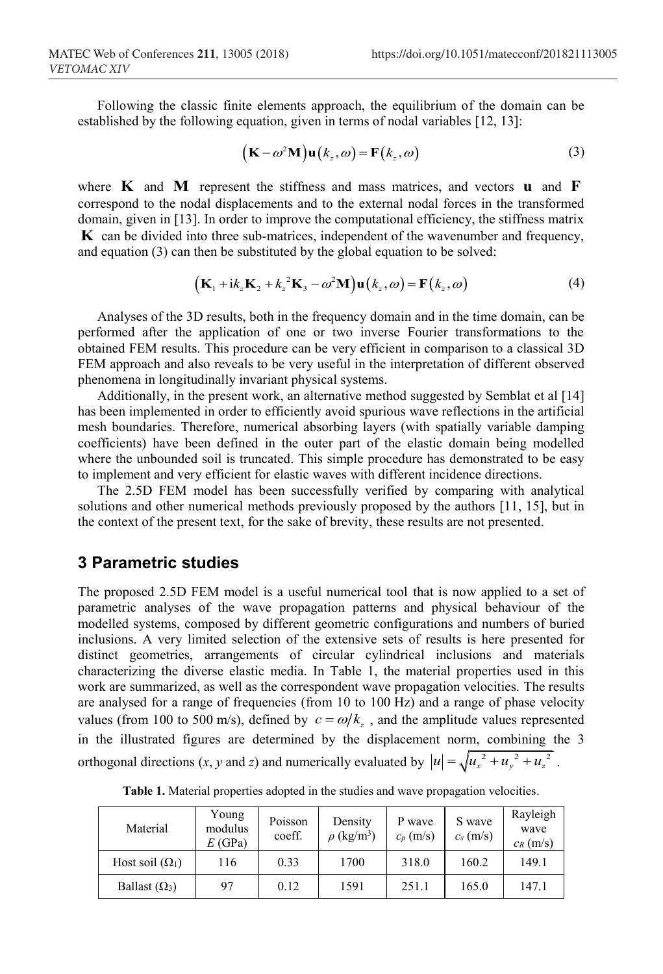Following the classic finite elements approach, the equilibrium of the domain can be established by the following equation, given in terms of nodal variables [12, 13]:

$$
(\mathbf{K} - \omega^2 \mathbf{M}) \mathbf{u}(k_z, \omega) = \mathbf{F}(k_z, \omega)
$$
 (3)

where **K** and **M** represent the stiffness and mass matrices, and vectors **u** and **F** correspond to the nodal displacements and to the external nodal forces in the transformed domain, given in [13]. In order to improve the computational efficiency, the stiffness matrix **K** can be divided into three sub-matrices, independent of the wavenumber and frequency, and equation (3) can then be substituted by the global equation to be solved:

$$
\left(\mathbf{K}_1 + i k_z \mathbf{K}_2 + k_z^2 \mathbf{K}_3 - \omega^2 \mathbf{M}\right) \mathbf{u}\left(k_z, \omega\right) = \mathbf{F}\left(k_z, \omega\right) \tag{4}
$$

Analyses of the 3D results, both in the frequency domain and in the time domain, can be performed after the application of one or two inverse Fourier transformations to the obtained FEM results. This procedure can be very efficient in comparison to a classical 3D FEM approach and also reveals to be very useful in the interpretation of different observed phenomena in longitudinally invariant physical systems.

Additionally, in the present work, an alternative method suggested by Semblat et al [14] has been implemented in order to efficiently avoid spurious wave reflections in the artificial mesh boundaries. Therefore, numerical absorbing layers (with spatially variable damping coefficients) have been defined in the outer part of the elastic domain being modelled where the unbounded soil is truncated. This simple procedure has demonstrated to be easy to implement and very efficient for elastic waves with different incidence directions.

The 2.5D FEM model has been successfully verified by comparing with analytical solutions and other numerical methods previously proposed by the authors [11, 15], but in the context of the present text, for the sake of brevity, these results are not presented.

#### **3 Parametric studies**

The proposed 2.5D FEM model is a useful numerical tool that is now applied to a set of parametric analyses of the wave propagation patterns and physical behaviour of the modelled systems, composed by different geometric configurations and numbers of buried inclusions. A very limited selection of the extensive sets of results is here presented for distinct geometries, arrangements of circular cylindrical inclusions and materials characterizing the diverse elastic media. In Table 1, the material properties used in this work are summarized, as well as the correspondent wave propagation velocities. The results are analysed for a range of frequencies (from 10 to 100 Hz) and a range of phase velocity values (from 100 to 500 m/s), defined by  $c = \omega/k_z$ , and the amplitude values represented in the illustrated figures are determined by the displacement norm, combining the 3 orthogonal directions  $(x, y \text{ and } z)$  and numerically evaluated by  $|u| = \sqrt{u_x^2 + u_y^2 + u_z^2}$ .

| Material               | Young<br>modulus<br>E(GPa) | Poisson<br>coeff. | Density<br>$\rho$ (kg/m <sup>3</sup> ) | P wave<br>$c_p$ (m/s) | S wave<br>$c_s$ (m/s) | Rayleigh<br>wave<br>$c_R$ (m/s) |
|------------------------|----------------------------|-------------------|----------------------------------------|-----------------------|-----------------------|---------------------------------|
| Host soil $(\Omega_1)$ | 116                        | 0.33              | 1700                                   | 318.0                 | 160.2                 | 149.1                           |
| Ballast $(\Omega_3)$   | 97                         | 0.12              | 1591                                   | 251.1                 | 165.0                 | 147.1                           |

**Table 1.** Material properties adopted in the studies and wave propagation velocities.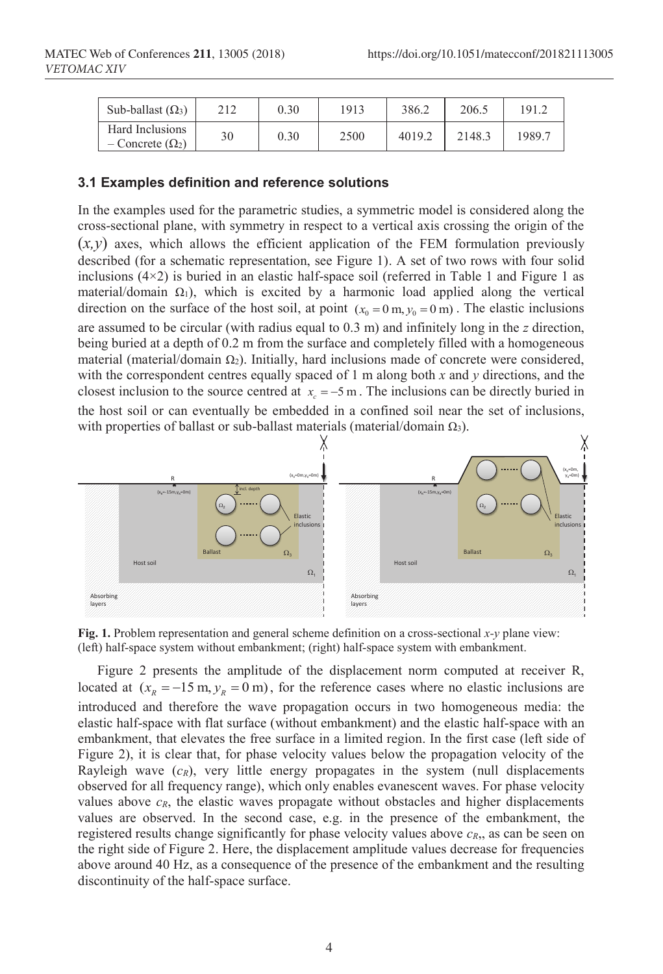| Sub-ballast $(\Omega_3)$                  | 212 | 0.30 | 1913 | 386.2  | 206.5  | 191.2  |
|-------------------------------------------|-----|------|------|--------|--------|--------|
| Hard Inclusions<br>$-Concrete (\Omega_2)$ | 30  | 0.30 | 2500 | 4019.2 | 2148.3 | 1989.7 |

#### **3.1 Examples definition and reference solutions**

In the examples used for the parametric studies, a symmetric model is considered along the cross-sectional plane, with symmetry in respect to a vertical axis crossing the origin of the  $(x, y)$  axes, which allows the efficient application of the FEM formulation previously described (for a schematic representation, see Figure 1). A set of two rows with four solid inclusions  $(4\times2)$  is buried in an elastic half-space soil (referred in Table 1 and Figure 1 as material/domain  $\Omega_1$ ), which is excited by a harmonic load applied along the vertical direction on the surface of the host soil, at point  $(x_0 = 0 \text{ m}, y_0 = 0 \text{ m})$ . The elastic inclusions are assumed to be circular (with radius equal to 0.3 m) and infinitely long in the *z* direction, being buried at a depth of 0.2 m from the surface and completely filled with a homogeneous material (material/domain  $\Omega_2$ ). Initially, hard inclusions made of concrete were considered, with the correspondent centres equally spaced of 1 m along both *x* and *y* directions, and the closest inclusion to the source centred at  $x_c = -5$  m. The inclusions can be directly buried in the host soil or can eventually be embedded in a confined soil near the set of inclusions, with properties of ballast or sub-ballast materials (material/domain  $Ω_3$ ).



**Fig. 1.** Problem representation and general scheme definition on a cross-sectional *x-y* plane view: (left) half-space system without embankment; (right) half-space system with embankment.

Figure 2 presents the amplitude of the displacement norm computed at receiver R, located at  $(x_R = -15 \text{ m}, y_R = 0 \text{ m})$ , for the reference cases where no elastic inclusions are introduced and therefore the wave propagation occurs in two homogeneous media: the elastic half-space with flat surface (without embankment) and the elastic half-space with an embankment, that elevates the free surface in a limited region. In the first case (left side of Figure 2), it is clear that, for phase velocity values below the propagation velocity of the Rayleigh wave  $(c_R)$ , very little energy propagates in the system (null displacements observed for all frequency range), which only enables evanescent waves. For phase velocity values above  $c_R$ , the elastic waves propagate without obstacles and higher displacements values are observed. In the second case, e.g. in the presence of the embankment, the registered results change significantly for phase velocity values above  $c_R$ , as can be seen on the right side of Figure 2. Here, the displacement amplitude values decrease for frequencies above around 40 Hz, as a consequence of the presence of the embankment and the resulting discontinuity of the half-space surface.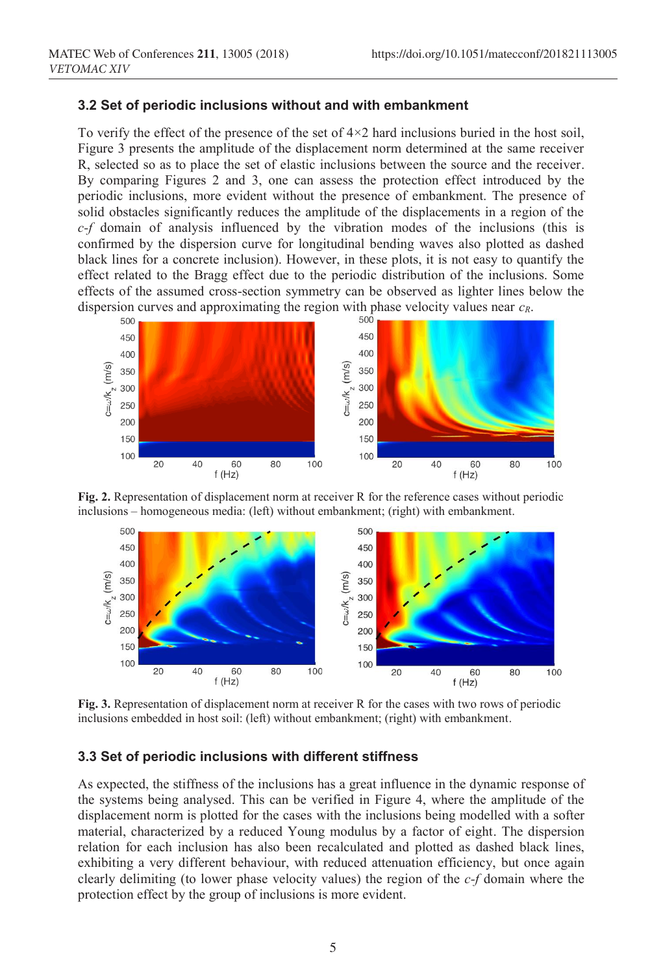#### **3.2 Set of periodic inclusions without and with embankment**

To verify the effect of the presence of the set of  $4\times2$  hard inclusions buried in the host soil, Figure 3 presents the amplitude of the displacement norm determined at the same receiver R, selected so as to place the set of elastic inclusions between the source and the receiver. By comparing Figures 2 and 3, one can assess the protection effect introduced by the periodic inclusions, more evident without the presence of embankment. The presence of solid obstacles significantly reduces the amplitude of the displacements in a region of the *c-f* domain of analysis influenced by the vibration modes of the inclusions (this is confirmed by the dispersion curve for longitudinal bending waves also plotted as dashed black lines for a concrete inclusion). However, in these plots, it is not easy to quantify the effect related to the Bragg effect due to the periodic distribution of the inclusions. Some effects of the assumed cross-section symmetry can be observed as lighter lines below the dispersion curves and approximating the region with phase velocity values near  $c_R$ .



**Fig. 2.** Representation of displacement norm at receiver R for the reference cases without periodic inclusions – homogeneous media: (left) without embankment; (right) with embankment.



**Fig. 3.** Representation of displacement norm at receiver R for the cases with two rows of periodic inclusions embedded in host soil: (left) without embankment; (right) with embankment.

#### **3.3 Set of periodic inclusions with different stiffness**

As expected, the stiffness of the inclusions has a great influence in the dynamic response of the systems being analysed. This can be verified in Figure 4, where the amplitude of the displacement norm is plotted for the cases with the inclusions being modelled with a softer material, characterized by a reduced Young modulus by a factor of eight. The dispersion relation for each inclusion has also been recalculated and plotted as dashed black lines, exhibiting a very different behaviour, with reduced attenuation efficiency, but once again clearly delimiting (to lower phase velocity values) the region of the *c-f* domain where the protection effect by the group of inclusions is more evident.